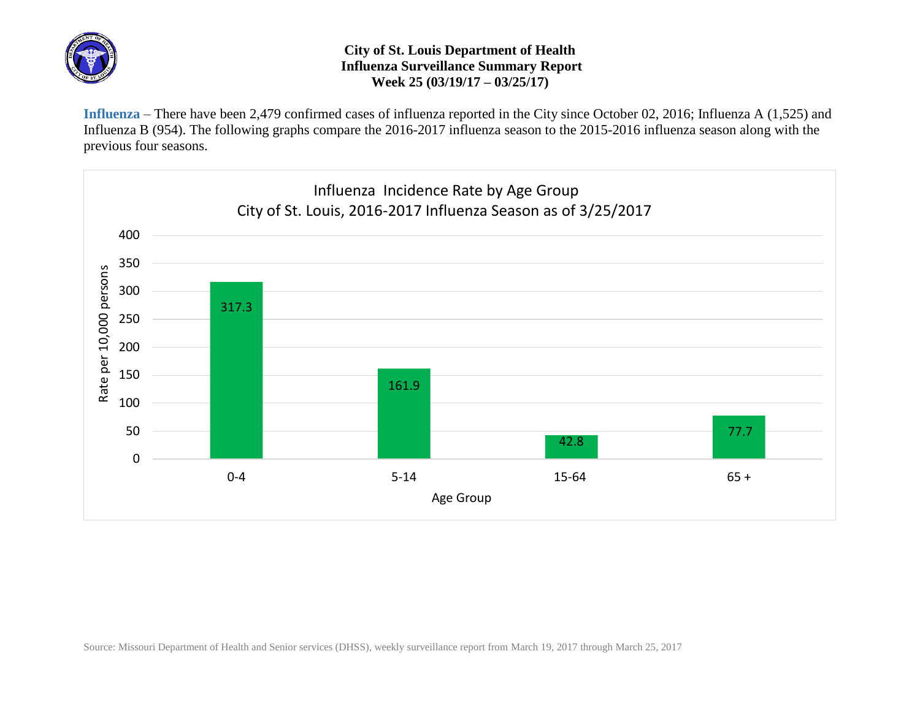

## **City of St. Louis Department of Health Influenza Surveillance Summary Report Week 25 (03/19/17 – 03/25/17)**

**Influenza** – There have been 2,479 confirmed cases of influenza reported in the City since October 02, 2016; Influenza A (1,525) and Influenza B (954). The following graphs compare the 2016-2017 influenza season to the 2015-2016 influenza season along with the previous four seasons.